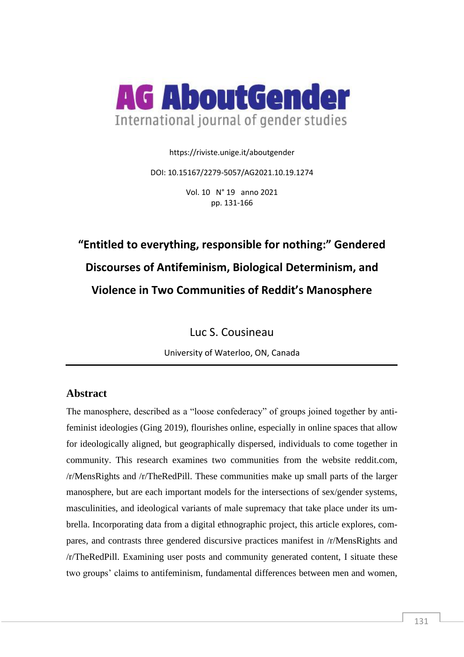

https://riviste.unige.it/aboutgender

DOI: 10.15167/2279-5057/AG2021.10.19.1274

Vol. 10 N° 19 anno 2021 pp. 131-166

# **"Entitled to everything, responsible for nothing:" Gendered Discourses of Antifeminism, Biological Determinism, and Violence in Two Communities of Reddit's Manosphere**

Luc S. Cousineau

University of Waterloo, ON, Canada

# **Abstract**

The manosphere, described as a "loose confederacy" of groups joined together by antifeminist ideologies (Ging 2019), flourishes online, especially in online spaces that allow for ideologically aligned, but geographically dispersed, individuals to come together in community. This research examines two communities from the website reddit.com, /r/MensRights and /r/TheRedPill. These communities make up small parts of the larger manosphere, but are each important models for the intersections of sex/gender systems, masculinities, and ideological variants of male supremacy that take place under its umbrella. Incorporating data from a digital ethnographic project, this article explores, compares, and contrasts three gendered discursive practices manifest in /r/MensRights and /r/TheRedPill. Examining user posts and community generated content, I situate these two groups' claims to antifeminism, fundamental differences between men and women,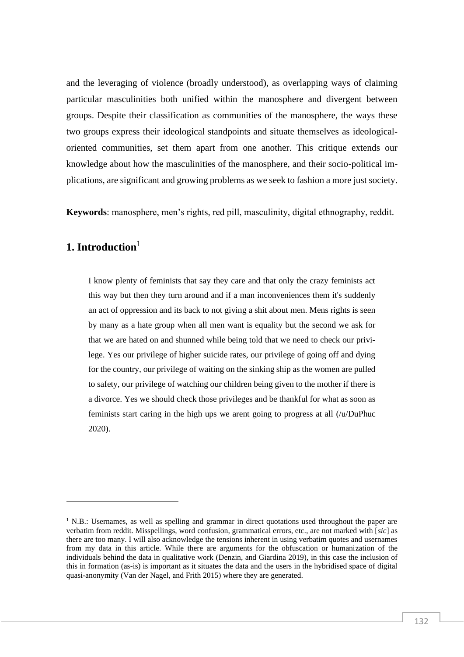and the leveraging of violence (broadly understood), as overlapping ways of claiming particular masculinities both unified within the manosphere and divergent between groups. Despite their classification as communities of the manosphere, the ways these two groups express their ideological standpoints and situate themselves as ideologicaloriented communities, set them apart from one another. This critique extends our knowledge about how the masculinities of the manosphere, and their socio-political implications, are significant and growing problems as we seek to fashion a more just society.

**Keywords**: manosphere, men's rights, red pill, masculinity, digital ethnography, reddit.

# **1. Introduction**<sup>1</sup>

I know plenty of feminists that say they care and that only the crazy feminists act this way but then they turn around and if a man inconveniences them it's suddenly an act of oppression and its back to not giving a shit about men. Mens rights is seen by many as a hate group when all men want is equality but the second we ask for that we are hated on and shunned while being told that we need to check our privilege. Yes our privilege of higher suicide rates, our privilege of going off and dying for the country, our privilege of waiting on the sinking ship as the women are pulled to safety, our privilege of watching our children being given to the mother if there is a divorce. Yes we should check those privileges and be thankful for what as soon as feminists start caring in the high ups we arent going to progress at all (/u/DuPhuc 2020).

 $1$  N.B.: Usernames, as well as spelling and grammar in direct quotations used throughout the paper are verbatim from reddit. Misspellings, word confusion, grammatical errors, etc., are not marked with [*sic*] as there are too many. I will also acknowledge the tensions inherent in using verbatim quotes and usernames from my data in this article. While there are arguments for the obfuscation or humanization of the individuals behind the data in qualitative work (Denzin, and Giardina 2019), in this case the inclusion of this in formation (as-is) is important as it situates the data and the users in the hybridised space of digital quasi-anonymity (Van der Nagel, and Frith 2015) where they are generated.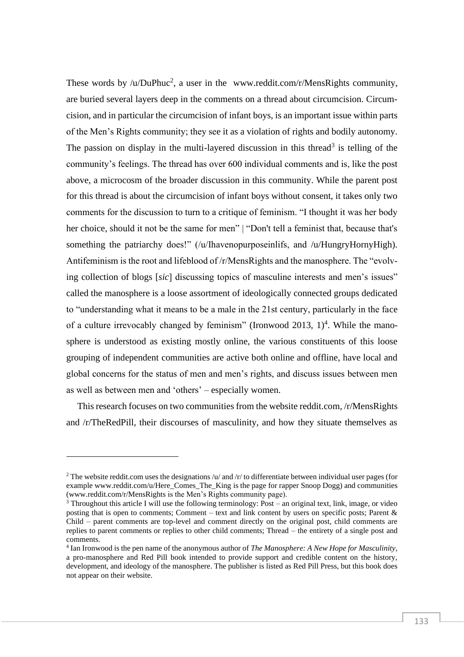These words by /u/DuPhuc<sup>2</sup>, a user in the [www.reddit.com/r/MensRights](http://www.reddit.com/r/MensRights) community, are buried several layers deep in the comments on a thread about circumcision. Circumcision, and in particular the circumcision of infant boys, is an important issue within parts of the Men's Rights community; they see it as a violation of rights and bodily autonomy. The passion on display in the multi-layered discussion in this thread<sup>3</sup> is telling of the community's feelings. The thread has over 600 individual comments and is, like the post above, a microcosm of the broader discussion in this community. While the parent post for this thread is about the circumcision of infant boys without consent, it takes only two comments for the discussion to turn to a critique of feminism. "I thought it was her body her choice, should it not be the same for men" | "Don't tell a feminist that, because that's something the patriarchy does!" (/u/Ihavenopurposeinlifs, and /u/HungryHornyHigh). Antifeminism is the root and lifeblood of /r/MensRights and the manosphere. The "evolving collection of blogs [*sic*] discussing topics of masculine interests and men's issues" called the manosphere is a loose assortment of ideologically connected groups dedicated to "understanding what it means to be a male in the 21st century, particularly in the face of a culture irrevocably changed by feminism" (Ironwood 2013,  $1$ <sup>4</sup>. While the manosphere is understood as existing mostly online, the various constituents of this loose grouping of independent communities are active both online and offline, have local and global concerns for the status of men and men's rights, and discuss issues between men as well as between men and 'others' – especially women.

This research focuses on two communities from the website reddit.com, /r/MensRights and /r/TheRedPill, their discourses of masculinity, and how they situate themselves as

<sup>&</sup>lt;sup>2</sup> The website reddit.com uses the designations /u/ and /r/ to differentiate between individual user pages (for exampl[e www.reddit.com/u/Here\\_Comes\\_The\\_King](http://www.reddit.com/u/Here_Comes_The_King) is the page for rapper Snoop Dogg) and communities [\(www.reddit.com/r/MensRights](http://www.reddit.com/r/MensRights) is the Men's Rights community page).

<sup>&</sup>lt;sup>3</sup> Throughout this article I will use the following terminology: Post – an original text, link, image, or video posting that is open to comments; Comment – text and link content by users on specific posts; Parent & Child – parent comments are top-level and comment directly on the original post, child comments are replies to parent comments or replies to other child comments; Thread – the entirety of a single post and comments.

<sup>4</sup> Ian Ironwood is the pen name of the anonymous author of *The Manosphere: A New Hope for Masculinity*, a pro-manosphere and Red Pill book intended to provide support and credible content on the history, development, and ideology of the manosphere. The publisher is listed as Red Pill Press, but this book does not appear on their website.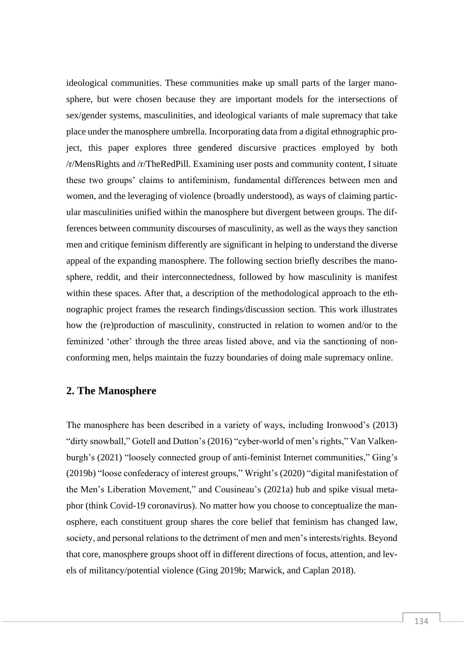ideological communities. These communities make up small parts of the larger manosphere, but were chosen because they are important models for the intersections of sex/gender systems, masculinities, and ideological variants of male supremacy that take place under the manosphere umbrella. Incorporating data from a digital ethnographic project, this paper explores three gendered discursive practices employed by both /r/MensRights and /r/TheRedPill. Examining user posts and community content, I situate these two groups' claims to antifeminism, fundamental differences between men and women, and the leveraging of violence (broadly understood), as ways of claiming particular masculinities unified within the manosphere but divergent between groups. The differences between community discourses of masculinity, as well as the ways they sanction men and critique feminism differently are significant in helping to understand the diverse appeal of the expanding manosphere. The following section briefly describes the manosphere, reddit, and their interconnectedness, followed by how masculinity is manifest within these spaces. After that, a description of the methodological approach to the ethnographic project frames the research findings/discussion section. This work illustrates how the (re)production of masculinity, constructed in relation to women and/or to the feminized 'other' through the three areas listed above, and via the sanctioning of nonconforming men, helps maintain the fuzzy boundaries of doing male supremacy online.

## **2. The Manosphere**

The manosphere has been described in a variety of ways, including Ironwood's (2013) "dirty snowball," Gotell and Dutton's (2016) "cyber-world of men's rights," Van Valkenburgh's (2021) "loosely connected group of anti-feminist Internet communities," Ging's (2019b) "loose confederacy of interest groups," Wright's (2020) "digital manifestation of the Men's Liberation Movement," and Cousineau's (2021a) hub and spike visual metaphor (think Covid-19 coronavirus). No matter how you choose to conceptualize the manosphere, each constituent group shares the core belief that feminism has changed law, society, and personal relations to the detriment of men and men's interests/rights. Beyond that core, manosphere groups shoot off in different directions of focus, attention, and levels of militancy/potential violence (Ging 2019b; Marwick, and Caplan 2018).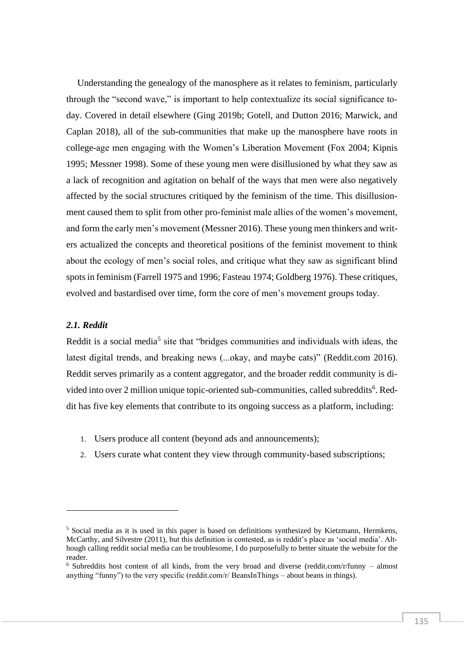Understanding the genealogy of the manosphere as it relates to feminism, particularly through the "second wave," is important to help contextualize its social significance today. Covered in detail elsewhere (Ging 2019b; Gotell, and Dutton 2016; Marwick, and Caplan 2018), all of the sub-communities that make up the manosphere have roots in college-age men engaging with the Women's Liberation Movement (Fox 2004; Kipnis 1995; Messner 1998). Some of these young men were disillusioned by what they saw as a lack of recognition and agitation on behalf of the ways that men were also negatively affected by the social structures critiqued by the feminism of the time. This disillusionment caused them to split from other pro-feminist male allies of the women's movement, and form the early men's movement (Messner 2016). These young men thinkers and writers actualized the concepts and theoretical positions of the feminist movement to think about the ecology of men's social roles, and critique what they saw as significant blind spots in feminism (Farrell 1975 and 1996; Fasteau 1974; Goldberg 1976). These critiques, evolved and bastardised over time, form the core of men's movement groups today.

## *2.1. Reddit*

Reddit is a social media<sup>5</sup> site that "bridges communities and individuals with ideas, the latest digital trends, and breaking news (...okay, and maybe cats)" (Reddit.com 2016). Reddit serves primarily as a content aggregator, and the broader reddit community is divided into over 2 million unique topic-oriented sub-communities, called subreddits<sup>6</sup>. Reddit has five key elements that contribute to its ongoing success as a platform, including:

- 1. Users produce all content (beyond ads and announcements);
- 2. Users curate what content they view through community-based subscriptions;

<sup>5</sup> Social media as it is used in this paper is based on definitions synthesized by Kietzmann, Hermkens, McCarthy, and Silvestre (2011), but this definition is contested, as is reddit's place as 'social media'. Although calling reddit social media can be troublesome, I do purposefully to better situate the website for the reader.

 $6$  Subreddits host content of all kinds, from the very broad and diverse (reddit.com/r/funny – almost anything "funny") to the very specific (reddit.com/r/ BeansInThings – about beans in things).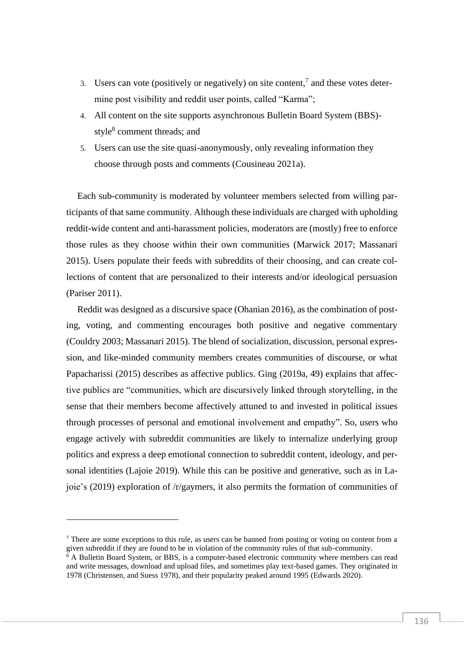- 3. Users can vote (positively or negatively) on site content,<sup>7</sup> and these votes determine post visibility and reddit user points, called "Karma";
- 4. All content on the site supports asynchronous Bulletin Board System (BBS) style<sup>8</sup> comment threads; and
- 5. Users can use the site quasi-anonymously, only revealing information they choose through posts and comments (Cousineau 2021a).

Each sub-community is moderated by volunteer members selected from willing participants of that same community. Although these individuals are charged with upholding reddit-wide content and anti-harassment policies, moderators are (mostly) free to enforce those rules as they choose within their own communities (Marwick 2017; Massanari 2015). Users populate their feeds with subreddits of their choosing, and can create collections of content that are personalized to their interests and/or ideological persuasion (Pariser 2011).

Reddit was designed as a discursive space (Ohanian 2016), as the combination of posting, voting, and commenting encourages both positive and negative commentary (Couldry 2003; Massanari 2015). The blend of socialization, discussion, personal expression, and like-minded community members creates communities of discourse, or what Papacharissi (2015) describes as affective publics. Ging (2019a, 49) explains that affective publics are "communities, which are discursively linked through storytelling, in the sense that their members become affectively attuned to and invested in political issues through processes of personal and emotional involvement and empathy". So, users who engage actively with subreddit communities are likely to internalize underlying group politics and express a deep emotional connection to subreddit content, ideology, and personal identities (Lajoie 2019). While this can be positive and generative, such as in Lajoie's (2019) exploration of /r/gaymers, it also permits the formation of communities of

<sup>&</sup>lt;sup>7</sup> There are some exceptions to this rule, as users can be banned from posting or voting on content from a given subreddit if they are found to be in violation of the community rules of that sub-community.

 $8$  A Bulletin Board System, or BBS, is a computer-based electronic community where members can read and write messages, download and upload files, and sometimes play text-based games. They originated in 1978 (Christensen, and Suess 1978), and their popularity peaked around 1995 (Edwards 2020).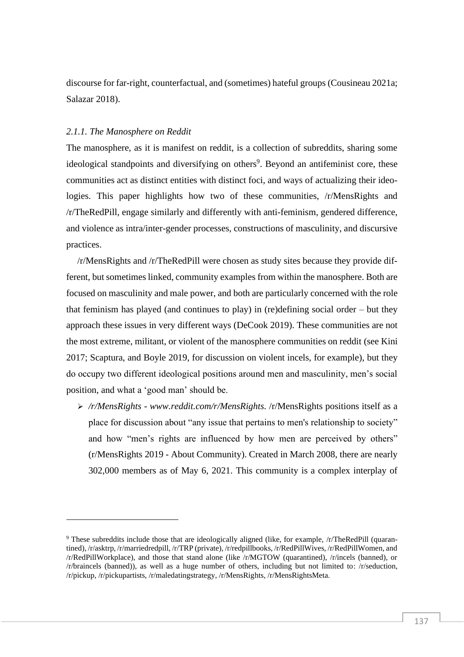discourse for far-right, counterfactual, and (sometimes) hateful groups (Cousineau 2021a; Salazar 2018).

#### *2.1.1. The Manosphere on Reddit*

The manosphere, as it is manifest on reddit, is a collection of subreddits, sharing some ideological standpoints and diversifying on others<sup>9</sup>. Beyond an antifeminist core, these communities act as distinct entities with distinct foci, and ways of actualizing their ideologies. This paper highlights how two of these communities, /r/MensRights and /r/TheRedPill, engage similarly and differently with anti-feminism, gendered difference, and violence as intra/inter-gender processes, constructions of masculinity, and discursive practices.

/r/MensRights and /r/TheRedPill were chosen as study sites because they provide different, but sometimes linked, community examples from within the manosphere. Both are focused on masculinity and male power, and both are particularly concerned with the role that feminism has played (and continues to play) in (re)defining social order – but they approach these issues in very different ways (DeCook 2019). These communities are not the most extreme, militant, or violent of the manosphere communities on reddit (see Kini 2017; Scaptura, and Boyle 2019, for discussion on violent incels, for example), but they do occupy two different ideological positions around men and masculinity, men's social position, and what a 'good man' should be.

➢ */r/MensRights - [www.reddit.com/r/MensRights.](htpp://www.reddit.com/r/mensrights)* /r/MensRights positions itself as a place for discussion about "any issue that pertains to men's relationship to society" and how "men's rights are influenced by how men are perceived by others" (r/MensRights 2019 - About Community). Created in March 2008, there are nearly 302,000 members as of May 6, 2021. This community is a complex interplay of

<sup>9</sup> These subreddits include those that are ideologically aligned (like, for example, /r/TheRedPill (quarantined), /r/asktrp, /r/marriedredpill, /r/TRP (private), /r/redpillbooks, /r/RedPillWives, /r/RedPillWomen, and /r/RedPillWorkplace), and those that stand alone (like /r/MGTOW (quarantined), /r/incels (banned), or /r/braincels (banned)), as well as a huge number of others, including but not limited to: /r/seduction, /r/pickup, /r/pickupartists, /r/maledatingstrategy, /r/MensRights, /r/MensRightsMeta.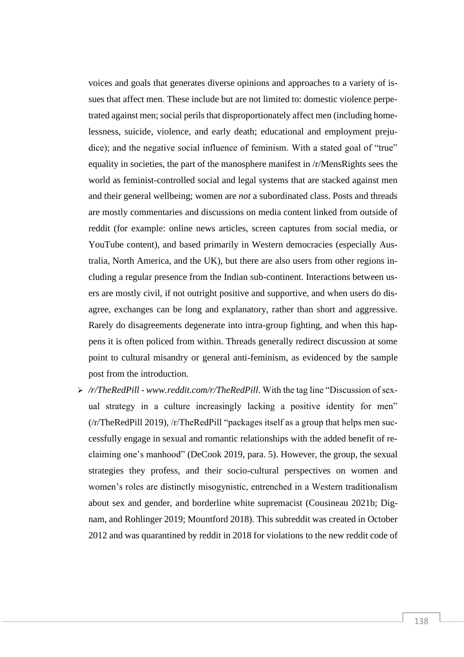voices and goals that generates diverse opinions and approaches to a variety of issues that affect men. These include but are not limited to: domestic violence perpetrated against men; social perils that disproportionately affect men (including homelessness, suicide, violence, and early death; educational and employment prejudice); and the negative social influence of feminism. With a stated goal of "true" equality in societies, the part of the manosphere manifest in /r/MensRights sees the world as feminist-controlled social and legal systems that are stacked against men and their general wellbeing; women are *not* a subordinated class. Posts and threads are mostly commentaries and discussions on media content linked from outside of reddit (for example: online news articles, screen captures from social media, or YouTube content), and based primarily in Western democracies (especially Australia, North America, and the UK), but there are also users from other regions including a regular presence from the Indian sub-continent. Interactions between users are mostly civil, if not outright positive and supportive, and when users do disagree, exchanges can be long and explanatory, rather than short and aggressive. Rarely do disagreements degenerate into intra-group fighting, and when this happens it is often policed from within. Threads generally redirect discussion at some point to cultural misandry or general anti-feminism, as evidenced by the sample post from the introduction.

➢ */r/TheRedPill - [www.reddit.com/r/TheRedPill](http://www.reddit.com/r/TheRedPill)*. With the tag line "Discussion of sexual strategy in a culture increasingly lacking a positive identity for men" (/r/TheRedPill 2019), /r/TheRedPill "packages itself as a group that helps men successfully engage in sexual and romantic relationships with the added benefit of reclaiming one's manhood" (DeCook 2019, para. 5). However, the group, the sexual strategies they profess, and their socio-cultural perspectives on women and women's roles are distinctly misogynistic, entrenched in a Western traditionalism about sex and gender, and borderline white supremacist (Cousineau 2021b; Dignam, and Rohlinger 2019; Mountford 2018). This subreddit was created in October 2012 and was quarantined by reddit in 2018 for violations to the new reddit code of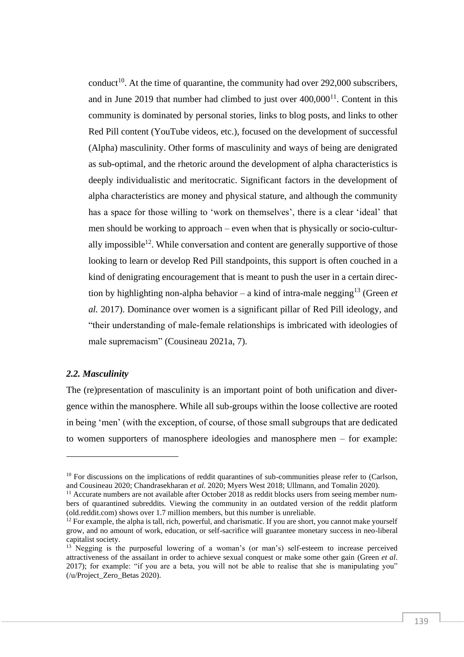conduct<sup>10</sup>. At the time of quarantine, the community had over 292,000 subscribers, and in June 2019 that number had climbed to just over  $400,000$ <sup>11</sup>. Content in this community is dominated by personal stories, links to blog posts, and links to other Red Pill content (YouTube videos, etc.), focused on the development of successful (Alpha) masculinity. Other forms of masculinity and ways of being are denigrated as sub-optimal, and the rhetoric around the development of alpha characteristics is deeply individualistic and meritocratic. Significant factors in the development of alpha characteristics are money and physical stature, and although the community has a space for those willing to 'work on themselves', there is a clear 'ideal' that men should be working to approach – even when that is physically or socio-culturally impossible<sup>12</sup>. While conversation and content are generally supportive of those looking to learn or develop Red Pill standpoints, this support is often couched in a kind of denigrating encouragement that is meant to push the user in a certain direction by highlighting non-alpha behavior – a kind of intra-male negging<sup>13</sup> (Green *et*) *al.* 2017). Dominance over women is a significant pillar of Red Pill ideology, and "their understanding of male-female relationships is imbricated with ideologies of male supremacism" (Cousineau 2021a, 7).

#### *2.2. Masculinity*

The (re)presentation of masculinity is an important point of both unification and divergence within the manosphere. While all sub-groups within the loose collective are rooted in being 'men' (with the exception, of course, of those small subgroups that are dedicated to women supporters of manosphere ideologies and manosphere men – for example:

 $10$  For discussions on the implications of reddit quarantines of sub-communities please refer to (Carlson, and Cousineau 2020; Chandrasekharan *et al.* 2020; Myers West 2018; Ullmann, and Tomalin 2020).

<sup>&</sup>lt;sup>11</sup> Accurate numbers are not available after October 2018 as reddit blocks users from seeing member numbers of quarantined subreddits. Viewing the community in an outdated version of the reddit platform (old.reddit.com) shows over 1.7 million members, but this number is unreliable.

 $12$  For example, the alpha is tall, rich, powerful, and charismatic. If you are short, you cannot make yourself grow, and no amount of work, education, or self-sacrifice will guarantee monetary success in neo-liberal capitalist society.

 $13$  Negging is the purposeful lowering of a woman's (or man's) self-esteem to increase perceived attractiveness of the assailant in order to achieve sexual conquest or make some other gain (Green *et al*. 2017); for example: "if you are a beta, you will not be able to realise that she is manipulating you" (/u/Project\_Zero\_Betas 2020).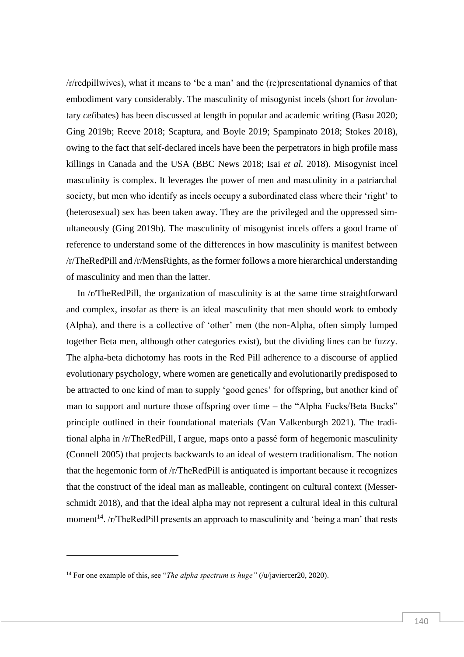/r/redpillwives), what it means to 'be a man' and the (re)presentational dynamics of that embodiment vary considerably. The masculinity of misogynist incels (short for *in*voluntary *cel*ibates) has been discussed at length in popular and academic writing (Basu 2020; Ging 2019b; Reeve 2018; Scaptura, and Boyle 2019; Spampinato 2018; Stokes 2018), owing to the fact that self-declared incels have been the perpetrators in high profile mass killings in Canada and the USA (BBC News 2018; Isai *et al.* 2018). Misogynist incel masculinity is complex. It leverages the power of men and masculinity in a patriarchal society, but men who identify as incels occupy a subordinated class where their 'right' to (heterosexual) sex has been taken away. They are the privileged and the oppressed simultaneously (Ging 2019b). The masculinity of misogynist incels offers a good frame of reference to understand some of the differences in how masculinity is manifest between /r/TheRedPill and /r/MensRights, as the former follows a more hierarchical understanding of masculinity and men than the latter.

In /r/TheRedPill, the organization of masculinity is at the same time straightforward and complex, insofar as there is an ideal masculinity that men should work to embody (Alpha), and there is a collective of 'other' men (the non-Alpha, often simply lumped together Beta men, although other categories exist), but the dividing lines can be fuzzy. The alpha-beta dichotomy has roots in the Red Pill adherence to a discourse of applied evolutionary psychology, where women are genetically and evolutionarily predisposed to be attracted to one kind of man to supply 'good genes' for offspring, but another kind of man to support and nurture those offspring over time – the "Alpha Fucks/Beta Bucks" principle outlined in their foundational materials (Van Valkenburgh 2021). The traditional alpha in /r/TheRedPill, I argue, maps onto a passé form of hegemonic masculinity (Connell 2005) that projects backwards to an ideal of western traditionalism. The notion that the hegemonic form of /r/TheRedPill is antiquated is important because it recognizes that the construct of the ideal man as malleable, contingent on cultural context (Messerschmidt 2018), and that the ideal alpha may not represent a cultural ideal in this cultural moment<sup>14</sup>. /r/TheRedPill presents an approach to masculinity and 'being a man' that rests

<sup>&</sup>lt;sup>14</sup> For one example of this, see "*The alpha spectrum is huge*" (/u/javiercer20, 2020).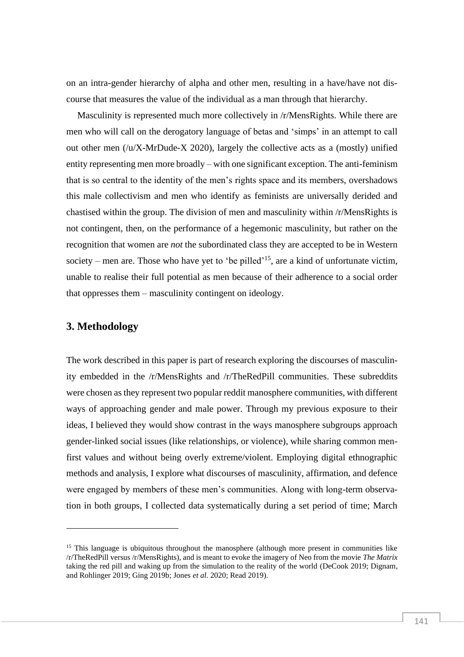on an intra-gender hierarchy of alpha and other men, resulting in a have/have not discourse that measures the value of the individual as a man through that hierarchy.

Masculinity is represented much more collectively in /r/MensRights. While there are men who will call on the derogatory language of betas and 'simps' in an attempt to call out other men (/u/X-MrDude-X 2020), largely the collective acts as a (mostly) unified entity representing men more broadly – with one significant exception. The anti-feminism that is so central to the identity of the men's rights space and its members, overshadows this male collectivism and men who identify as feminists are universally derided and chastised within the group. The division of men and masculinity within /r/MensRights is not contingent, then, on the performance of a hegemonic masculinity, but rather on the recognition that women are *not* the subordinated class they are accepted to be in Western society – men are. Those who have yet to 'be pilled'<sup>15</sup>, are a kind of unfortunate victim, unable to realise their full potential as men because of their adherence to a social order that oppresses them – masculinity contingent on ideology.

## **3. Methodology**

The work described in this paper is part of research exploring the discourses of masculinity embedded in the /r/MensRights and /r/TheRedPill communities. These subreddits were chosen as they represent two popular reddit manosphere communities, with different ways of approaching gender and male power. Through my previous exposure to their ideas, I believed they would show contrast in the ways manosphere subgroups approach gender-linked social issues (like relationships, or violence), while sharing common menfirst values and without being overly extreme/violent. Employing digital ethnographic methods and analysis, I explore what discourses of masculinity, affirmation, and defence were engaged by members of these men's communities. Along with long-term observation in both groups, I collected data systematically during a set period of time; March

 $15$  This language is ubiquitous throughout the manosphere (although more present in communities like /r/TheRedPill versus /r/MensRights), and is meant to evoke the imagery of Neo from the movie *The Matrix* taking the red pill and waking up from the simulation to the reality of the world (DeCook 2019; Dignam, and Rohlinger 2019; Ging 2019b; Jones *et al.* 2020; Read 2019).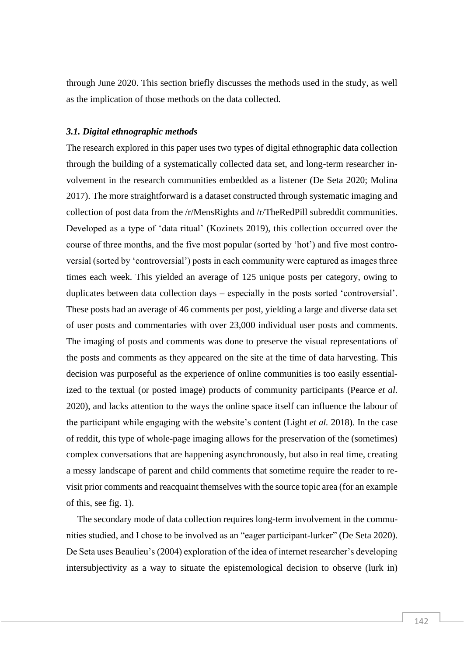through June 2020. This section briefly discusses the methods used in the study, as well as the implication of those methods on the data collected.

#### *3.1. Digital ethnographic methods*

The research explored in this paper uses two types of digital ethnographic data collection through the building of a systematically collected data set, and long-term researcher involvement in the research communities embedded as a listener (De Seta 2020; Molina 2017). The more straightforward is a dataset constructed through systematic imaging and collection of post data from the /r/MensRights and /r/TheRedPill subreddit communities. Developed as a type of 'data ritual' (Kozinets 2019), this collection occurred over the course of three months, and the five most popular (sorted by 'hot') and five most controversial (sorted by 'controversial') posts in each community were captured as images three times each week. This yielded an average of 125 unique posts per category, owing to duplicates between data collection days – especially in the posts sorted 'controversial'. These posts had an average of 46 comments per post, yielding a large and diverse data set of user posts and commentaries with over 23,000 individual user posts and comments. The imaging of posts and comments was done to preserve the visual representations of the posts and comments as they appeared on the site at the time of data harvesting. This decision was purposeful as the experience of online communities is too easily essentialized to the textual (or posted image) products of community participants (Pearce *et al.* 2020), and lacks attention to the ways the online space itself can influence the labour of the participant while engaging with the website's content (Light *et al.* 2018). In the case of reddit, this type of whole-page imaging allows for the preservation of the (sometimes) complex conversations that are happening asynchronously, but also in real time, creating a messy landscape of parent and child comments that sometime require the reader to revisit prior comments and reacquaint themselves with the source topic area (for an example of this, see fig. 1).

The secondary mode of data collection requires long-term involvement in the communities studied, and I chose to be involved as an "eager participant-lurker" (De Seta 2020). De Seta uses Beaulieu's (2004) exploration of the idea of internet researcher's developing intersubjectivity as a way to situate the epistemological decision to observe (lurk in)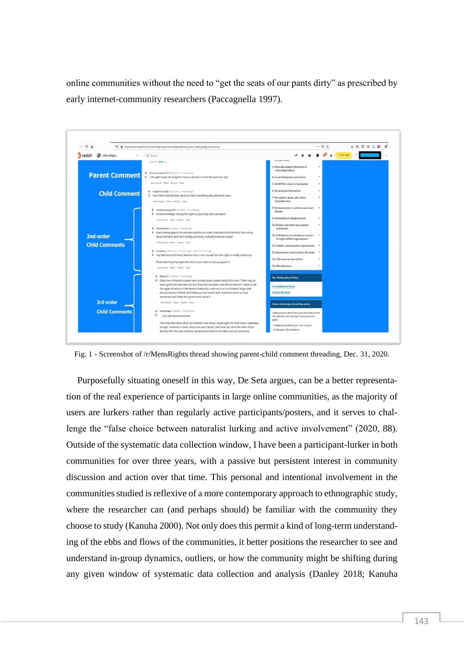online communities without the need to "get the seats of our pants dirty" as prescribed by early internet-community researchers (Paccagnella 1997).



Fig. 1 - Screenshot of /r/MensRights thread showing parent-child comment threading, Dec. 31, 2020.

Purposefully situating oneself in this way, De Seta argues, can be a better representation of the real experience of participants in large online communities, as the majority of users are lurkers rather than regularly active participants/posters, and it serves to challenge the "false choice between naturalist lurking and active involvement" (2020, 88). Outside of the systematic data collection window, I have been a participant-lurker in both communities for over three years, with a passive but persistent interest in community discussion and action over that time. This personal and intentional involvement in the communities studied is reflexive of a more contemporary approach to ethnographic study, where the researcher can (and perhaps should) be familiar with the community they choose to study (Kanuha 2000). Not only does this permit a kind of long-term understanding of the ebbs and flows of the communities, it better positions the researcher to see and understand in-group dynamics, outliers, or how the community might be shifting during any given window of systematic data collection and analysis (Danley 2018; Kanuha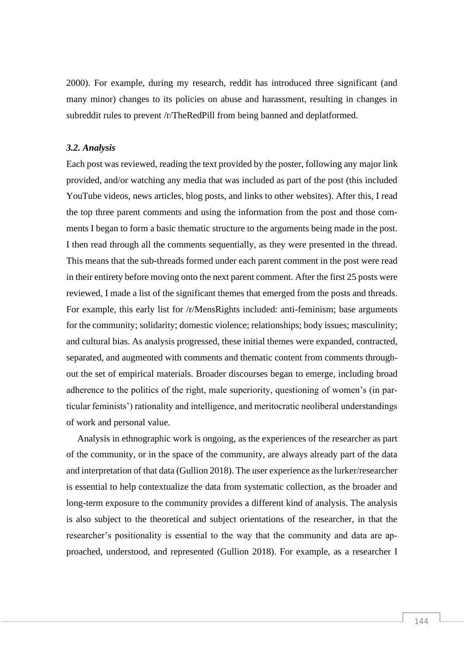2000). For example, during my research, reddit has introduced three significant (and many minor) changes to its policies on abuse and harassment, resulting in changes in subreddit rules to prevent /r/TheRedPill from being banned and deplatformed.

#### *3.2. Analysis*

Each post was reviewed, reading the text provided by the poster, following any major link provided, and/or watching any media that was included as part of the post (this included YouTube videos, news articles, blog posts, and links to other websites). After this, I read the top three parent comments and using the information from the post and those comments I began to form a basic thematic structure to the arguments being made in the post. I then read through all the comments sequentially, as they were presented in the thread. This means that the sub-threads formed under each parent comment in the post were read in their entirety before moving onto the next parent comment. After the first 25 posts were reviewed, I made a list of the significant themes that emerged from the posts and threads. For example, this early list for /r/MensRights included: anti-feminism; base arguments for the community; solidarity; domestic violence; relationships; body issues; masculinity; and cultural bias. As analysis progressed, these initial themes were expanded, contracted, separated, and augmented with comments and thematic content from comments throughout the set of empirical materials. Broader discourses began to emerge, including broad adherence to the politics of the right, male superiority, questioning of women's (in particular feminists') rationality and intelligence, and meritocratic neoliberal understandings of work and personal value.

Analysis in ethnographic work is ongoing, as the experiences of the researcher as part of the community, or in the space of the community, are always already part of the data and interpretation of that data (Gullion 2018). The user experience as the lurker/researcher is essential to help contextualize the data from systematic collection, as the broader and long-term exposure to the community provides a different kind of analysis. The analysis is also subject to the theoretical and subject orientations of the researcher, in that the researcher's positionality is essential to the way that the community and data are approached, understood, and represented (Gullion 2018). For example, as a researcher I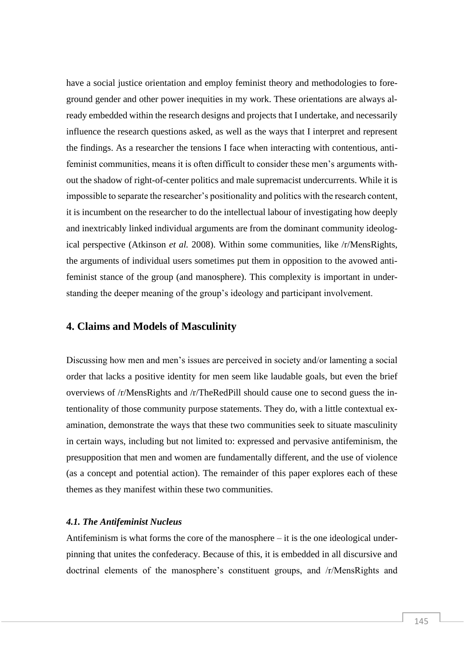have a social justice orientation and employ feminist theory and methodologies to foreground gender and other power inequities in my work. These orientations are always already embedded within the research designs and projects that I undertake, and necessarily influence the research questions asked, as well as the ways that I interpret and represent the findings. As a researcher the tensions I face when interacting with contentious, antifeminist communities, means it is often difficult to consider these men's arguments without the shadow of right-of-center politics and male supremacist undercurrents. While it is impossible to separate the researcher's positionality and politics with the research content, it is incumbent on the researcher to do the intellectual labour of investigating how deeply and inextricably linked individual arguments are from the dominant community ideological perspective (Atkinson *et al.* 2008). Within some communities, like /r/MensRights, the arguments of individual users sometimes put them in opposition to the avowed antifeminist stance of the group (and manosphere). This complexity is important in understanding the deeper meaning of the group's ideology and participant involvement.

## **4. Claims and Models of Masculinity**

Discussing how men and men's issues are perceived in society and/or lamenting a social order that lacks a positive identity for men seem like laudable goals, but even the brief overviews of /r/MensRights and /r/TheRedPill should cause one to second guess the intentionality of those community purpose statements. They do, with a little contextual examination, demonstrate the ways that these two communities seek to situate masculinity in certain ways, including but not limited to: expressed and pervasive antifeminism, the presupposition that men and women are fundamentally different, and the use of violence (as a concept and potential action). The remainder of this paper explores each of these themes as they manifest within these two communities.

#### *4.1. The Antifeminist Nucleus*

Antifeminism is what forms the core of the manosphere  $-$  it is the one ideological underpinning that unites the confederacy. Because of this, it is embedded in all discursive and doctrinal elements of the manosphere's constituent groups, and /r/MensRights and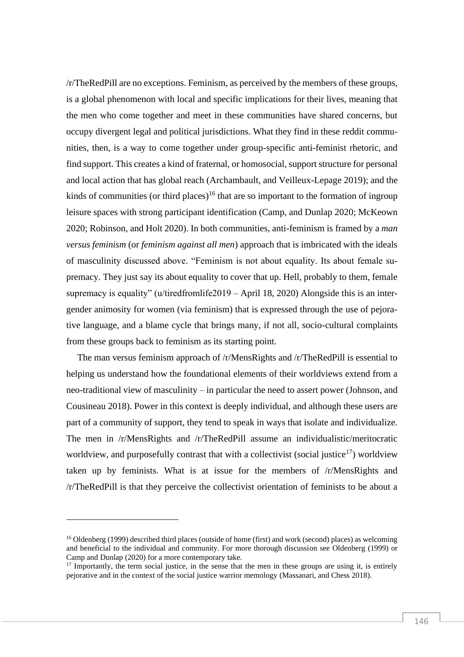/r/TheRedPill are no exceptions. Feminism, as perceived by the members of these groups, is a global phenomenon with local and specific implications for their lives, meaning that the men who come together and meet in these communities have shared concerns, but occupy divergent legal and political jurisdictions. What they find in these reddit communities, then, is a way to come together under group-specific anti-feminist rhetoric, and find support. This creates a kind of fraternal, or homosocial, support structure for personal and local action that has global reach (Archambault, and Veilleux-Lepage 2019); and the kinds of communities (or third places)<sup>16</sup> that are so important to the formation of ingroup leisure spaces with strong participant identification (Camp, and Dunlap 2020; McKeown 2020; Robinson, and Holt 2020). In both communities, anti-feminism is framed by a *man versus feminism* (or *feminism against all men*) approach that is imbricated with the ideals of masculinity discussed above. "Feminism is not about equality. Its about female supremacy. They just say its about equality to cover that up. Hell, probably to them, female supremacy is equality" (u/tiredfromlife2019 – April 18, 2020) Alongside this is an intergender animosity for women (via feminism) that is expressed through the use of pejorative language, and a blame cycle that brings many, if not all, socio-cultural complaints from these groups back to feminism as its starting point.

The man versus feminism approach of /r/MensRights and /r/TheRedPill is essential to helping us understand how the foundational elements of their worldviews extend from a neo-traditional view of masculinity – in particular the need to assert power (Johnson, and Cousineau 2018). Power in this context is deeply individual, and although these users are part of a community of support, they tend to speak in ways that isolate and individualize. The men in /r/MensRights and /r/TheRedPill assume an individualistic/meritocratic worldview, and purposefully contrast that with a collectivist (social justice<sup>17</sup>) worldview taken up by feminists. What is at issue for the members of /r/MensRights and /r/TheRedPill is that they perceive the collectivist orientation of feminists to be about a

<sup>&</sup>lt;sup>16</sup> Oldenberg (1999) described third places (outside of home (first) and work (second) places) as welcoming and beneficial to the individual and community. For more thorough discussion see Oldenberg (1999) or Camp and Dunlap (2020) for a more contemporary take.

 $17$  Importantly, the term social justice, in the sense that the men in these groups are using it, is entirely pejorative and in the context of the social justice warrior memology (Massanari, and Chess 2018).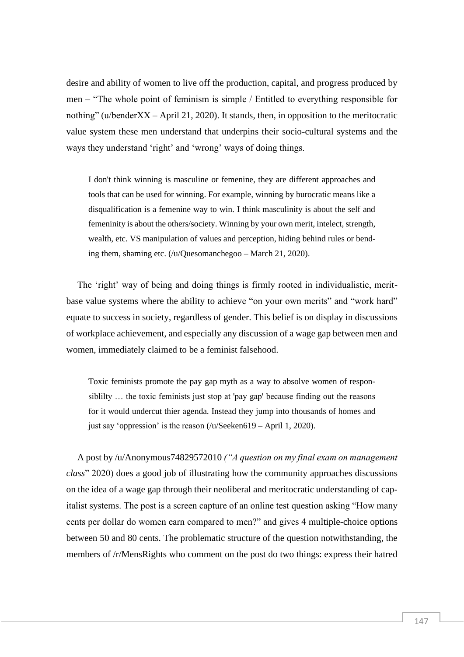desire and ability of women to live off the production, capital, and progress produced by men – "The whole point of feminism is simple / Entitled to everything responsible for nothing" (u/benderXX – April 21, 2020). It stands, then, in opposition to the meritocratic value system these men understand that underpins their socio-cultural systems and the ways they understand 'right' and 'wrong' ways of doing things.

I don't think winning is masculine or femenine, they are different approaches and tools that can be used for winning. For example, winning by burocratic means like a disqualification is a femenine way to win. I think masculinity is about the self and femeninity is about the others/society. Winning by your own merit, intelect, strength, wealth, etc. VS manipulation of values and perception, hiding behind rules or bending them, shaming etc. (/u/Quesomanchegoo – March 21, 2020).

The 'right' way of being and doing things is firmly rooted in individualistic, meritbase value systems where the ability to achieve "on your own merits" and "work hard" equate to success in society, regardless of gender. This belief is on display in discussions of workplace achievement, and especially any discussion of a wage gap between men and women, immediately claimed to be a feminist falsehood.

Toxic feminists promote the pay gap myth as a way to absolve women of responsiblilty … the toxic feminists just stop at 'pay gap' because finding out the reasons for it would undercut thier agenda. Instead they jump into thousands of homes and just say 'oppression' is the reason (/u/Seeken619 – April 1, 2020).

A post by /u/Anonymous74829572010 *("A question on my final exam on management class*" 2020) does a good job of illustrating how the community approaches discussions on the idea of a wage gap through their neoliberal and meritocratic understanding of capitalist systems. The post is a screen capture of an online test question asking "How many cents per dollar do women earn compared to men?" and gives 4 multiple-choice options between 50 and 80 cents. The problematic structure of the question notwithstanding, the members of /r/MensRights who comment on the post do two things: express their hatred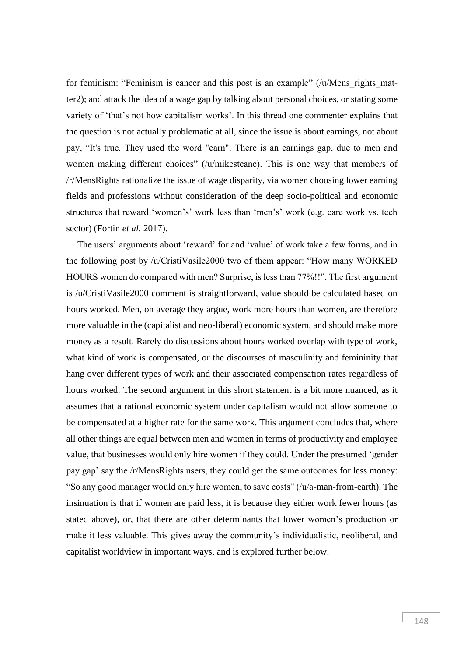for feminism: "Feminism is cancer and this post is an example" (/u/Mens\_rights\_matter2); and attack the idea of a wage gap by talking about personal choices, or stating some variety of 'that's not how capitalism works'. In this thread one commenter explains that the question is not actually problematic at all, since the issue is about earnings, not about pay, "It's true. They used the word "earn". There is an earnings gap, due to men and women making different choices" (/u/mikesteane). This is one way that members of /r/MensRights rationalize the issue of wage disparity, via women choosing lower earning fields and professions without consideration of the deep socio-political and economic structures that reward 'women's' work less than 'men's' work (e.g. care work vs. tech sector) (Fortin *et al.* 2017).

The users' arguments about 'reward' for and 'value' of work take a few forms, and in the following post by /u/CristiVasile2000 two of them appear: "How many WORKED HOURS women do compared with men? Surprise, is less than 77%!!". The first argument is /u/CristiVasile2000 comment is straightforward, value should be calculated based on hours worked. Men, on average they argue, work more hours than women, are therefore more valuable in the (capitalist and neo-liberal) economic system, and should make more money as a result. Rarely do discussions about hours worked overlap with type of work, what kind of work is compensated, or the discourses of masculinity and femininity that hang over different types of work and their associated compensation rates regardless of hours worked. The second argument in this short statement is a bit more nuanced, as it assumes that a rational economic system under capitalism would not allow someone to be compensated at a higher rate for the same work. This argument concludes that, where all other things are equal between men and women in terms of productivity and employee value, that businesses would only hire women if they could. Under the presumed 'gender pay gap' say the /r/MensRights users, they could get the same outcomes for less money: "So any good manager would only hire women, to save costs" (/u/a-man-from-earth). The insinuation is that if women are paid less, it is because they either work fewer hours (as stated above), or, that there are other determinants that lower women's production or make it less valuable. This gives away the community's individualistic, neoliberal, and capitalist worldview in important ways, and is explored further below.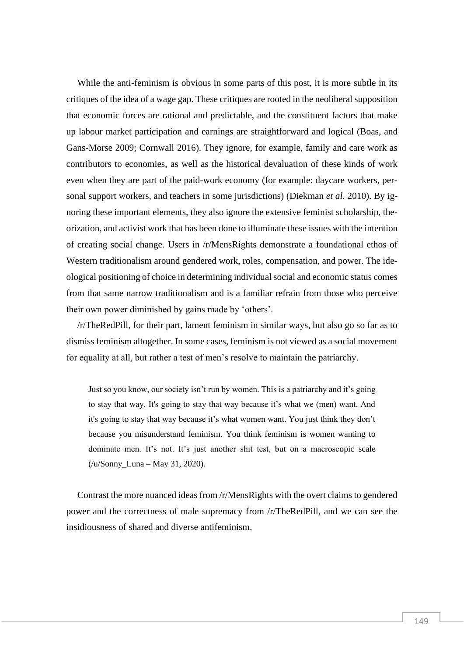While the anti-feminism is obvious in some parts of this post, it is more subtle in its critiques of the idea of a wage gap. These critiques are rooted in the neoliberal supposition that economic forces are rational and predictable, and the constituent factors that make up labour market participation and earnings are straightforward and logical (Boas, and Gans-Morse 2009; Cornwall 2016). They ignore, for example, family and care work as contributors to economies, as well as the historical devaluation of these kinds of work even when they are part of the paid-work economy (for example: daycare workers, personal support workers, and teachers in some jurisdictions) (Diekman *et al.* 2010). By ignoring these important elements, they also ignore the extensive feminist scholarship, theorization, and activist work that has been done to illuminate these issues with the intention of creating social change. Users in /r/MensRights demonstrate a foundational ethos of Western traditionalism around gendered work, roles, compensation, and power. The ideological positioning of choice in determining individual social and economic status comes from that same narrow traditionalism and is a familiar refrain from those who perceive their own power diminished by gains made by 'others'.

/r/TheRedPill, for their part, lament feminism in similar ways, but also go so far as to dismiss feminism altogether. In some cases, feminism is not viewed as a social movement for equality at all, but rather a test of men's resolve to maintain the patriarchy.

Just so you know, our society isn't run by women. This is a patriarchy and it's going to stay that way. It's going to stay that way because it's what we (men) want. And it's going to stay that way because it's what women want. You just think they don't because you misunderstand feminism. You think feminism is women wanting to dominate men. It's not. It's just another shit test, but on a macroscopic scale (/u/Sonny\_Luna – May 31, 2020).

Contrast the more nuanced ideas from /r/MensRights with the overt claims to gendered power and the correctness of male supremacy from /r/TheRedPill, and we can see the insidiousness of shared and diverse antifeminism.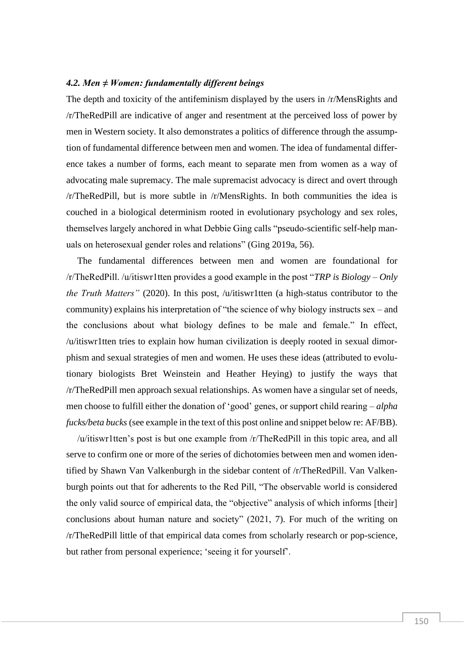#### *4.2. Men ≠ Women: fundamentally different beings*

The depth and toxicity of the antifeminism displayed by the users in /r/MensRights and /r/TheRedPill are indicative of anger and resentment at the perceived loss of power by men in Western society. It also demonstrates a politics of difference through the assumption of fundamental difference between men and women. The idea of fundamental difference takes a number of forms, each meant to separate men from women as a way of advocating male supremacy. The male supremacist advocacy is direct and overt through /r/TheRedPill, but is more subtle in /r/MensRights. In both communities the idea is couched in a biological determinism rooted in evolutionary psychology and sex roles, themselves largely anchored in what Debbie Ging calls "pseudo-scientific self-help manuals on heterosexual gender roles and relations" (Ging 2019a, 56).

The fundamental differences between men and women are foundational for /r/TheRedPill. /u/itiswr1tten provides a good example in the post "*TRP is Biology – Only the Truth Matters"* (2020). In this post, /u/itiswr1tten (a high-status contributor to the community) explains his interpretation of "the science of why biology instructs sex – and the conclusions about what biology defines to be male and female." In effect, /u/itiswr1tten tries to explain how human civilization is deeply rooted in sexual dimorphism and sexual strategies of men and women. He uses these ideas (attributed to evolutionary biologists Bret Weinstein and Heather Heying) to justify the ways that /r/TheRedPill men approach sexual relationships. As women have a singular set of needs, men choose to fulfill either the donation of 'good' genes, or support child rearing – *alpha fucks/beta bucks* (see example in the text of this post online and snippet below re: AF/BB).

/u/itiswr1tten's post is but one example from /r/TheRedPill in this topic area, and all serve to confirm one or more of the series of dichotomies between men and women identified by Shawn Van Valkenburgh in the sidebar content of /r/TheRedPill. Van Valkenburgh points out that for adherents to the Red Pill, "The observable world is considered the only valid source of empirical data, the "objective" analysis of which informs [their] conclusions about human nature and society" (2021, 7). For much of the writing on /r/TheRedPill little of that empirical data comes from scholarly research or pop-science, but rather from personal experience; 'seeing it for yourself'.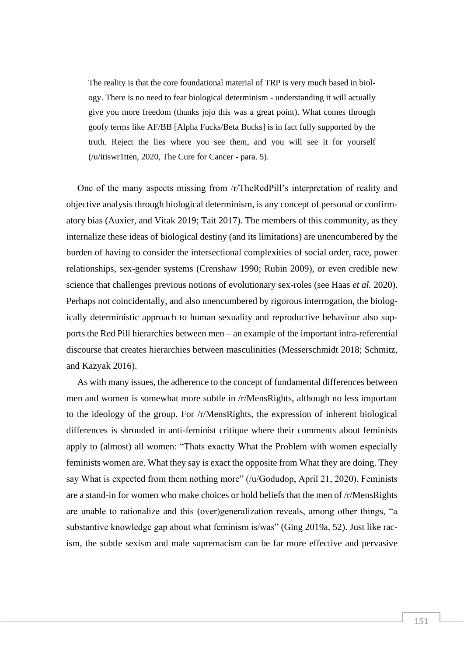The reality is that the core foundational material of TRP is very much based in biology. There is no need to fear biological determinism - understanding it will actually give you more freedom (thanks jojo this was a great point). What comes through goofy terms like AF/BB [Alpha Fucks/Beta Bucks] is in fact fully supported by the truth. Reject the lies where you see them, and you will see it for yourself (/u/itiswr1tten, 2020, The Cure for Cancer - para. 5).

One of the many aspects missing from /r/TheRedPill's interpretation of reality and objective analysis through biological determinism, is any concept of personal or confirmatory bias (Auxier, and Vitak 2019; Tait 2017). The members of this community, as they internalize these ideas of biological destiny (and its limitations) are unencumbered by the burden of having to consider the intersectional complexities of social order, race, power relationships, sex-gender systems (Crenshaw 1990; Rubin 2009), or even credible new science that challenges previous notions of evolutionary sex-roles (see Haas *et al.* 2020). Perhaps not coincidentally, and also unencumbered by rigorous interrogation, the biologically deterministic approach to human sexuality and reproductive behaviour also supports the Red Pill hierarchies between men – an example of the important intra-referential discourse that creates hierarchies between masculinities (Messerschmidt 2018; Schmitz, and Kazyak 2016).

As with many issues, the adherence to the concept of fundamental differences between men and women is somewhat more subtle in /r/MensRights, although no less important to the ideology of the group. For /r/MensRights, the expression of inherent biological differences is shrouded in anti-feminist critique where their comments about feminists apply to (almost) all women: "Thats exactty What the Problem with women especially feminists women are. What they say is exact the opposite from What they are doing. They say What is expected from them nothing more" (/u/Godudop, April 21, 2020). Feminists are a stand-in for women who make choices or hold beliefs that the men of /r/MensRights are unable to rationalize and this (over)generalization reveals, among other things, "a substantive knowledge gap about what feminism is/was" (Ging 2019a, 52). Just like racism, the subtle sexism and male supremacism can be far more effective and pervasive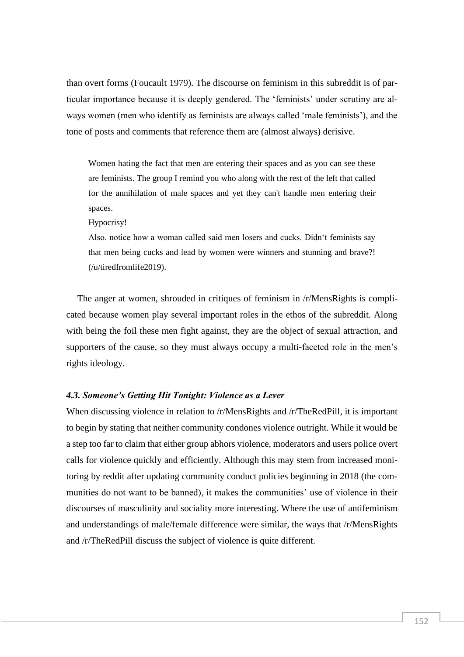than overt forms (Foucault 1979). The discourse on feminism in this subreddit is of particular importance because it is deeply gendered. The 'feminists' under scrutiny are always women (men who identify as feminists are always called 'male feminists'), and the tone of posts and comments that reference them are (almost always) derisive.

Women hating the fact that men are entering their spaces and as you can see these are feminists. The group I remind you who along with the rest of the left that called for the annihilation of male spaces and yet they can't handle men entering their spaces.

Hypocrisy!

Also. notice how a woman called said men losers and cucks. Didn't feminists say that men being cucks and lead by women were winners and stunning and brave?! (/u/tiredfromlife2019).

The anger at women, shrouded in critiques of feminism in /r/MensRights is complicated because women play several important roles in the ethos of the subreddit. Along with being the foil these men fight against, they are the object of sexual attraction, and supporters of the cause, so they must always occupy a multi-faceted role in the men's rights ideology.

#### *4.3. Someone's Getting Hit Tonight: Violence as a Lever*

When discussing violence in relation to /r/MensRights and /r/TheRedPill, it is important to begin by stating that neither community condones violence outright. While it would be a step too far to claim that either group abhors violence, moderators and users police overt calls for violence quickly and efficiently. Although this may stem from increased monitoring by reddit after updating community conduct policies beginning in 2018 (the communities do not want to be banned), it makes the communities' use of violence in their discourses of masculinity and sociality more interesting. Where the use of antifeminism and understandings of male/female difference were similar, the ways that /r/MensRights and /r/TheRedPill discuss the subject of violence is quite different.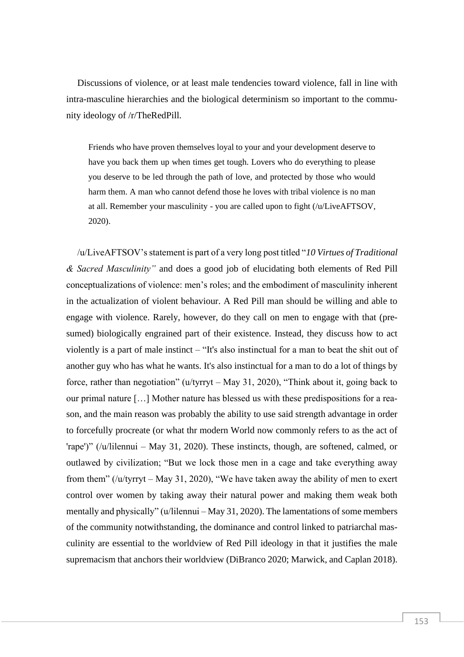Discussions of violence, or at least male tendencies toward violence, fall in line with intra-masculine hierarchies and the biological determinism so important to the community ideology of /r/TheRedPill.

Friends who have proven themselves loyal to your and your development deserve to have you back them up when times get tough. Lovers who do everything to please you deserve to be led through the path of love, and protected by those who would harm them. A man who cannot defend those he loves with tribal violence is no man at all. Remember your masculinity - you are called upon to fight (/u/LiveAFTSOV, 2020).

/u/LiveAFTSOV's statement is part of a very long post titled "*10 Virtues of Traditional & Sacred Masculinity"* and does a good job of elucidating both elements of Red Pill conceptualizations of violence: men's roles; and the embodiment of masculinity inherent in the actualization of violent behaviour. A Red Pill man should be willing and able to engage with violence. Rarely, however, do they call on men to engage with that (presumed) biologically engrained part of their existence. Instead, they discuss how to act violently is a part of male instinct – "It's also instinctual for a man to beat the shit out of another guy who has what he wants. It's also instinctual for a man to do a lot of things by force, rather than negotiation" (u/tyrryt – May 31, 2020), "Think about it, going back to our primal nature […] Mother nature has blessed us with these predispositions for a reason, and the main reason was probably the ability to use said strength advantage in order to forcefully procreate (or what thr modern World now commonly refers to as the act of 'rape')" (/u/lilennui – May 31, 2020). These instincts, though, are softened, calmed, or outlawed by civilization; "But we lock those men in a cage and take everything away from them" (/u/tyrryt – May 31, 2020), "We have taken away the ability of men to exert control over women by taking away their natural power and making them weak both mentally and physically" (u/lilennui – May 31, 2020). The lamentations of some members of the community notwithstanding, the dominance and control linked to patriarchal masculinity are essential to the worldview of Red Pill ideology in that it justifies the male supremacism that anchors their worldview (DiBranco 2020; Marwick, and Caplan 2018).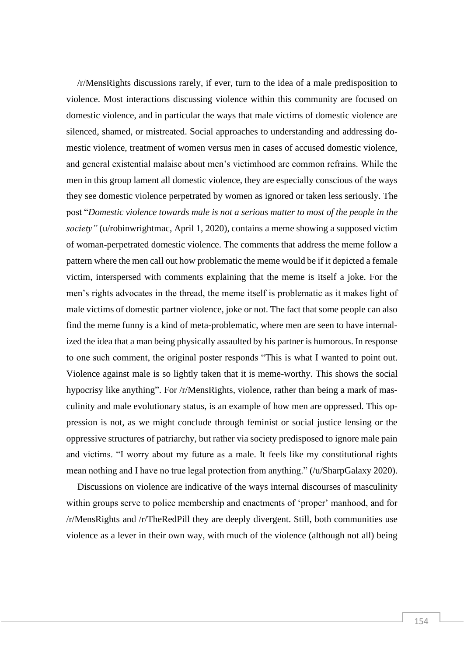/r/MensRights discussions rarely, if ever, turn to the idea of a male predisposition to violence. Most interactions discussing violence within this community are focused on domestic violence, and in particular the ways that male victims of domestic violence are silenced, shamed, or mistreated. Social approaches to understanding and addressing domestic violence, treatment of women versus men in cases of accused domestic violence, and general existential malaise about men's victimhood are common refrains. While the men in this group lament all domestic violence, they are especially conscious of the ways they see domestic violence perpetrated by women as ignored or taken less seriously. The post "*Domestic violence towards male is not a serious matter to most of the people in the society"* (u/robinwrightmac, April 1, 2020), contains a meme showing a supposed victim of woman-perpetrated domestic violence. The comments that address the meme follow a pattern where the men call out how problematic the meme would be if it depicted a female victim, interspersed with comments explaining that the meme is itself a joke. For the men's rights advocates in the thread, the meme itself is problematic as it makes light of male victims of domestic partner violence, joke or not. The fact that some people can also find the meme funny is a kind of meta-problematic, where men are seen to have internalized the idea that a man being physically assaulted by his partner is humorous. In response to one such comment, the original poster responds "This is what I wanted to point out. Violence against male is so lightly taken that it is meme-worthy. This shows the social hypocrisy like anything". For /r/MensRights, violence, rather than being a mark of masculinity and male evolutionary status, is an example of how men are oppressed. This oppression is not, as we might conclude through feminist or social justice lensing or the oppressive structures of patriarchy, but rather via society predisposed to ignore male pain and victims. "I worry about my future as a male. It feels like my constitutional rights mean nothing and I have no true legal protection from anything." (/u/SharpGalaxy 2020).

Discussions on violence are indicative of the ways internal discourses of masculinity within groups serve to police membership and enactments of 'proper' manhood, and for /r/MensRights and /r/TheRedPill they are deeply divergent. Still, both communities use violence as a lever in their own way, with much of the violence (although not all) being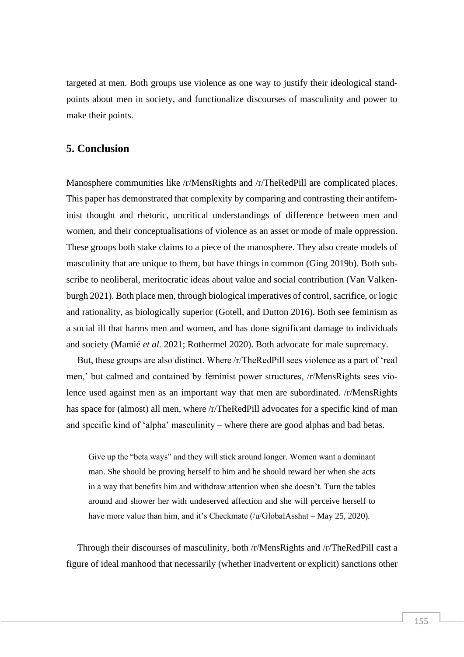targeted at men. Both groups use violence as one way to justify their ideological standpoints about men in society, and functionalize discourses of masculinity and power to make their points.

## **5. Conclusion**

Manosphere communities like /r/MensRights and /r/TheRedPill are complicated places. This paper has demonstrated that complexity by comparing and contrasting their antifeminist thought and rhetoric, uncritical understandings of difference between men and women, and their conceptualisations of violence as an asset or mode of male oppression. These groups both stake claims to a piece of the manosphere. They also create models of masculinity that are unique to them, but have things in common (Ging 2019b). Both subscribe to neoliberal, meritocratic ideas about value and social contribution (Van Valkenburgh 2021). Both place men, through biological imperatives of control, sacrifice, or logic and rationality, as biologically superior (Gotell, and Dutton 2016). Both see feminism as a social ill that harms men and women, and has done significant damage to individuals and society (Mamié *et al.* 2021; Rothermel 2020). Both advocate for male supremacy.

But, these groups are also distinct. Where /r/TheRedPill sees violence as a part of 'real men,' but calmed and contained by feminist power structures, /r/MensRights sees violence used against men as an important way that men are subordinated. /r/MensRights has space for (almost) all men, where /r/TheRedPill advocates for a specific kind of man and specific kind of 'alpha' masculinity – where there are good alphas and bad betas.

Give up the "beta ways" and they will stick around longer. Women want a dominant man. She should be proving herself to him and he should reward her when she acts in a way that benefits him and withdraw attention when she doesn't. Turn the tables around and shower her with undeserved affection and she will perceive herself to have more value than him, and it's Checkmate (/u/GlobalAsshat – May 25, 2020).

Through their discourses of masculinity, both /r/MensRights and /r/TheRedPill cast a figure of ideal manhood that necessarily (whether inadvertent or explicit) sanctions other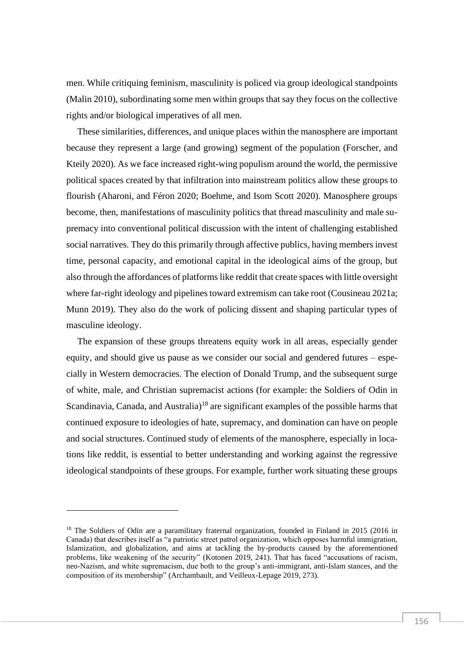men. While critiquing feminism, masculinity is policed via group ideological standpoints (Malin 2010), subordinating some men within groups that say they focus on the collective rights and/or biological imperatives of all men.

These similarities, differences, and unique places within the manosphere are important because they represent a large (and growing) segment of the population (Forscher, and Kteily 2020). As we face increased right-wing populism around the world, the permissive political spaces created by that infiltration into mainstream politics allow these groups to flourish (Aharoni, and Féron 2020; Boehme, and Isom Scott 2020). Manosphere groups become, then, manifestations of masculinity politics that thread masculinity and male supremacy into conventional political discussion with the intent of challenging established social narratives. They do this primarily through affective publics, having members invest time, personal capacity, and emotional capital in the ideological aims of the group, but also through the affordances of platforms like reddit that create spaces with little oversight where far-right ideology and pipelines toward extremism can take root (Cousineau 2021a; Munn 2019). They also do the work of policing dissent and shaping particular types of masculine ideology.

The expansion of these groups threatens equity work in all areas, especially gender equity, and should give us pause as we consider our social and gendered futures – especially in Western democracies. The election of Donald Trump, and the subsequent surge of white, male, and Christian supremacist actions (for example: the Soldiers of Odin in Scandinavia, Canada, and Australia)<sup>18</sup> are significant examples of the possible harms that continued exposure to ideologies of hate, supremacy, and domination can have on people and social structures. Continued study of elements of the manosphere, especially in locations like reddit, is essential to better understanding and working against the regressive ideological standpoints of these groups. For example, further work situating these groups

<sup>&</sup>lt;sup>18</sup> The Soldiers of Odin are a paramilitary fraternal organization, founded in Finland in 2015 (2016 in Canada) that describes itself as "a patriotic street patrol organization, which opposes harmful immigration, Islamization, and globalization, and aims at tackling the by-products caused by the aforementioned problems, like weakening of the security" (Kotonen 2019, 241). That has faced "accusations of racism, neo-Nazism, and white supremacism, due both to the group's anti-immigrant, anti-Islam stances, and the composition of its membership" (Archambault, and Veilleux-Lepage 2019, 273).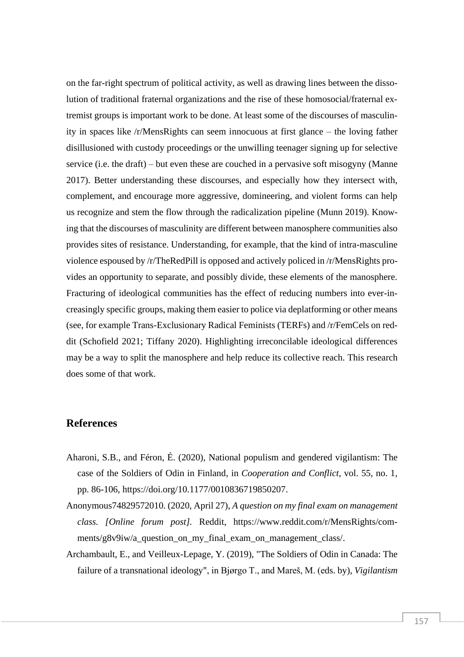on the far-right spectrum of political activity, as well as drawing lines between the dissolution of traditional fraternal organizations and the rise of these homosocial/fraternal extremist groups is important work to be done. At least some of the discourses of masculinity in spaces like /r/MensRights can seem innocuous at first glance – the loving father disillusioned with custody proceedings or the unwilling teenager signing up for selective service (i.e. the draft) – but even these are couched in a pervasive soft misogyny (Manne 2017). Better understanding these discourses, and especially how they intersect with, complement, and encourage more aggressive, domineering, and violent forms can help us recognize and stem the flow through the radicalization pipeline (Munn 2019). Knowing that the discourses of masculinity are different between manosphere communities also provides sites of resistance. Understanding, for example, that the kind of intra-masculine violence espoused by /r/TheRedPill is opposed and actively policed in /r/MensRights provides an opportunity to separate, and possibly divide, these elements of the manosphere. Fracturing of ideological communities has the effect of reducing numbers into ever-increasingly specific groups, making them easier to police via deplatforming or other means (see, for example Trans-Exclusionary Radical Feminists (TERFs) and /r/FemCels on reddit (Schofield 2021; Tiffany 2020). Highlighting irreconcilable ideological differences may be a way to split the manosphere and help reduce its collective reach. This research does some of that work.

## **References**

- Aharoni, S.B., and Féron, É. (2020), National populism and gendered vigilantism: The case of the Soldiers of Odin in Finland, in *Cooperation and Conflict*, vol. 55, no. 1, pp. 86-106, https://doi.org/10.1177/0010836719850207.
- Anonymous74829572010. (2020, April 27), *A question on my final exam on management class. [Online forum post].* Reddit, https://www.reddit.com/r/MensRights/comments/g8v9iw/a\_question\_on\_my\_final\_exam\_on\_management\_class/.
- Archambault, E., and Veilleux-Lepage, Y. (2019), "The Soldiers of Odin in Canada: The failure of a transnational ideology", in Bjørgo T., and Mareš, M. (eds. by), *Vigilantism*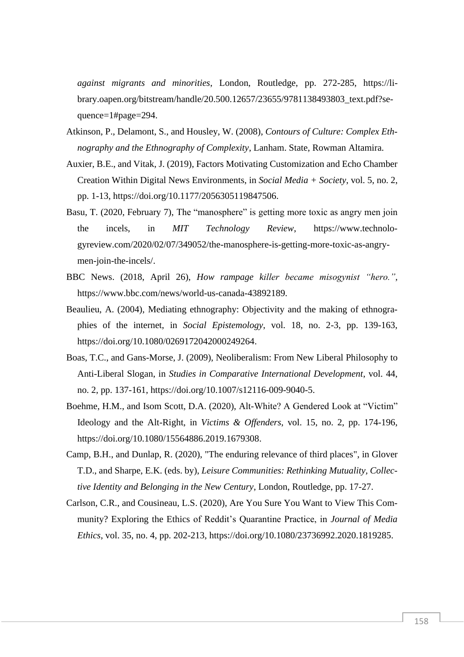*against migrants and minorities*, London, Routledge, pp. 272-285, https://library.oapen.org/bitstream/handle/20.500.12657/23655/9781138493803\_text.pdf?sequence=1#page=294.

- Atkinson, P., Delamont, S., and Housley, W. (2008), *Contours of Culture: Complex Ethnography and the Ethnography of Complexity*, Lanham. State, Rowman Altamira.
- Auxier, B.E., and Vitak, J. (2019), Factors Motivating Customization and Echo Chamber Creation Within Digital News Environments, in *Social Media + Society*, vol. 5, no. 2, pp. 1-13, https://doi.org/10.1177/2056305119847506.
- Basu, T. (2020, February 7), The "manosphere" is getting more toxic as angry men join the incels, in *MIT Technology Review*, https://www.technologyreview.com/2020/02/07/349052/the-manosphere-is-getting-more-toxic-as-angrymen-join-the-incels/.
- BBC News. (2018, April 26), *How rampage killer became misogynist "hero.",* https://www.bbc.com/news/world-us-canada-43892189.
- Beaulieu, A. (2004), Mediating ethnography: Objectivity and the making of ethnographies of the internet, in *Social Epistemology*, vol. 18, no. 2-3, pp. 139-163, https://doi.org/10.1080/0269172042000249264.
- Boas, T.C., and Gans-Morse, J. (2009), Neoliberalism: From New Liberal Philosophy to Anti-Liberal Slogan, in *Studies in Comparative International Development*, vol. 44, no. 2, pp. 137-161, https://doi.org/10.1007/s12116-009-9040-5.
- Boehme, H.M., and Isom Scott, D.A. (2020), Alt-White? A Gendered Look at "Victim" Ideology and the Alt-Right, in *Victims & Offenders*, vol. 15, no. 2, pp. 174-196, https://doi.org/10.1080/15564886.2019.1679308.
- Camp, B.H., and Dunlap, R. (2020), "The enduring relevance of third places", in Glover T.D., and Sharpe, E.K. (eds. by), *Leisure Communities: Rethinking Mutuality, Collective Identity and Belonging in the New Century*, London, Routledge, pp. 17-27.
- Carlson, C.R., and Cousineau, L.S. (2020), Are You Sure You Want to View This Community? Exploring the Ethics of Reddit's Quarantine Practice, in *Journal of Media Ethics*, vol. 35, no. 4, pp. 202-213, https://doi.org/10.1080/23736992.2020.1819285.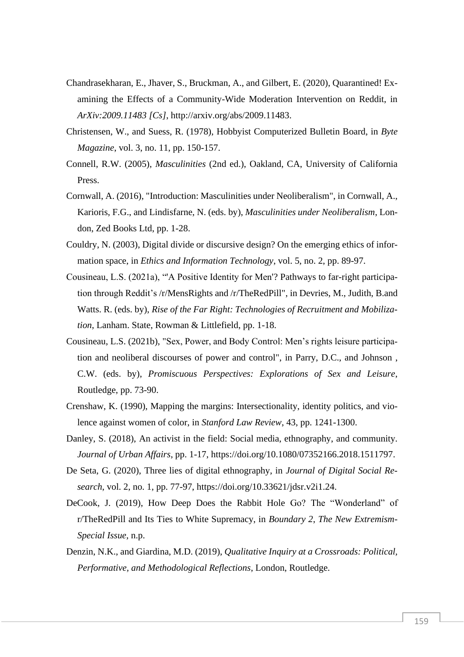- Chandrasekharan, E., Jhaver, S., Bruckman, A., and Gilbert, E. (2020), Quarantined! Examining the Effects of a Community-Wide Moderation Intervention on Reddit, in *ArXiv:2009.11483 [Cs]*, http://arxiv.org/abs/2009.11483.
- Christensen, W., and Suess, R. (1978), Hobbyist Computerized Bulletin Board, in *Byte Magazine*, vol. 3, no. 11, pp. 150-157.
- Connell, R.W. (2005), *Masculinities* (2nd ed.), Oakland, CA, University of California Press.
- Cornwall, A. (2016), "Introduction: Masculinities under Neoliberalism", in Cornwall, A., Karioris, F.G., and Lindisfarne, N. (eds. by), *Masculinities under Neoliberalism*, London, Zed Books Ltd, pp. 1-28.
- Couldry, N. (2003), Digital divide or discursive design? On the emerging ethics of information space, in *Ethics and Information Technology*, vol. 5, no. 2, pp. 89-97.
- Cousineau, L.S. (2021a), "'A Positive Identity for Men'? Pathways to far-right participation through Reddit's /r/MensRights and /r/TheRedPill", in Devries, M., Judith, B.and Watts. R. (eds. by), *Rise of the Far Right: Technologies of Recruitment and Mobilization*, Lanham. State, Rowman & Littlefield, pp. 1-18.
- Cousineau, L.S. (2021b), "Sex, Power, and Body Control: Men's rights leisure participation and neoliberal discourses of power and control", in Parry, D.C., and Johnson , C.W. (eds. by), *Promiscuous Perspectives: Explorations of Sex and Leisure*, Routledge, pp. 73-90.
- Crenshaw, K. (1990), Mapping the margins: Intersectionality, identity politics, and violence against women of color, in *Stanford Law Review*, 43, pp. 1241-1300.
- Danley, S. (2018), An activist in the field: Social media, ethnography, and community. *Journal of Urban Affairs*, pp. 1-17, https://doi.org/10.1080/07352166.2018.1511797.
- De Seta, G. (2020), Three lies of digital ethnography, in *Journal of Digital Social Research*, vol. 2, no. 1, pp. 77-97, https://doi.org/10.33621/jdsr.v2i1.24.
- DeCook, J. (2019), How Deep Does the Rabbit Hole Go? The "Wonderland" of r/TheRedPill and Its Ties to White Supremacy, in *Boundary 2*, *The New Extremism-Special Issue*, n.p.
- Denzin, N.K., and Giardina, M.D. (2019), *Qualitative Inquiry at a Crossroads: Political, Performative, and Methodological Reflections*, London, Routledge.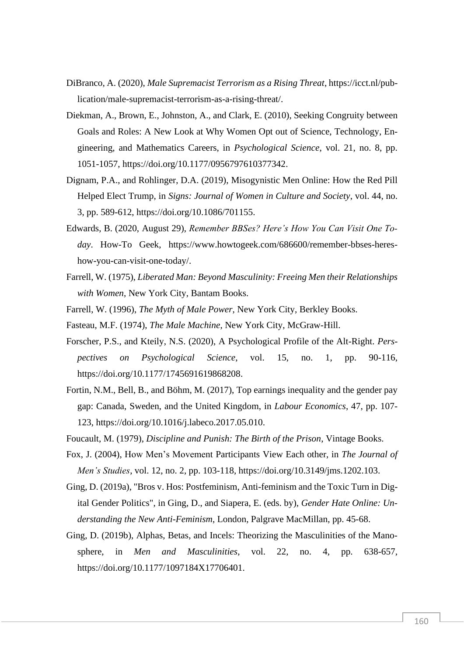- DiBranco, A. (2020), *Male Supremacist Terrorism as a Rising Threat*, https://icct.nl/publication/male-supremacist-terrorism-as-a-rising-threat/.
- Diekman, A., Brown, E., Johnston, A., and Clark, E. (2010), Seeking Congruity between Goals and Roles: A New Look at Why Women Opt out of Science, Technology, Engineering, and Mathematics Careers, in *Psychological Science*, vol. 21, no. 8, pp. 1051-1057, https://doi.org/10.1177/0956797610377342.
- Dignam, P.A., and Rohlinger, D.A. (2019), Misogynistic Men Online: How the Red Pill Helped Elect Trump, in *Signs: Journal of Women in Culture and Society*, vol. 44, no. 3, pp. 589-612, https://doi.org/10.1086/701155.
- Edwards, B. (2020, August 29), *Remember BBSes? Here's How You Can Visit One Today*. How-To Geek, https://www.howtogeek.com/686600/remember-bbses-hereshow-you-can-visit-one-today/.
- Farrell, W. (1975), *Liberated Man: Beyond Masculinity: Freeing Men their Relationships with Women*, New York City, Bantam Books.
- Farrell, W. (1996), *The Myth of Male Power*, New York City, Berkley Books.
- Fasteau, M.F. (1974), *The Male Machine*, New York City, McGraw-Hill.
- Forscher, P.S., and Kteily, N.S. (2020), A Psychological Profile of the Alt-Right. *Perspectives on Psychological Science*, vol. 15, no. 1, pp. 90-116, https://doi.org/10.1177/1745691619868208.
- Fortin, N.M., Bell, B., and Böhm, M. (2017), Top earnings inequality and the gender pay gap: Canada, Sweden, and the United Kingdom, in *Labour Economics*, 47, pp. 107- 123, https://doi.org/10.1016/j.labeco.2017.05.010.
- Foucault, M. (1979), *Discipline and Punish: The Birth of the Prison*, Vintage Books.
- Fox, J. (2004), How Men's Movement Participants View Each other, in *The Journal of Men's Studies*, vol. 12, no. 2, pp. 103-118, https://doi.org/10.3149/jms.1202.103.
- Ging, D. (2019a), "Bros v. Hos: Postfeminism, Anti-feminism and the Toxic Turn in Digital Gender Politics", in Ging, D., and Siapera, E. (eds. by), *Gender Hate Online: Understanding the New Anti-Feminism*, London, Palgrave MacMillan, pp. 45-68.
- Ging, D. (2019b), Alphas, Betas, and Incels: Theorizing the Masculinities of the Manosphere, in *Men and Masculinities*, vol. 22, no. 4, pp. 638-657, https://doi.org/10.1177/1097184X17706401.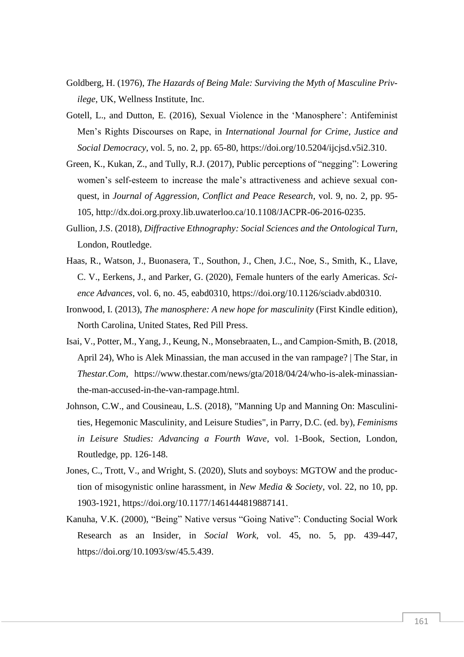- Goldberg, H. (1976), *The Hazards of Being Male: Surviving the Myth of Masculine Privilege*, UK, Wellness Institute, Inc.
- Gotell, L., and Dutton, E. (2016), Sexual Violence in the 'Manosphere': Antifeminist Men's Rights Discourses on Rape, in *International Journal for Crime, Justice and Social Democracy*, vol. 5, no. 2, pp. 65-80, https://doi.org/10.5204/ijcjsd.v5i2.310.
- Green, K., Kukan, Z., and Tully, R.J. (2017), Public perceptions of "negging": Lowering women's self-esteem to increase the male's attractiveness and achieve sexual conquest, in *Journal of Aggression, Conflict and Peace Research*, vol. 9, no. 2, pp. 95- 105, http://dx.doi.org.proxy.lib.uwaterloo.ca/10.1108/JACPR-06-2016-0235.
- Gullion, J.S. (2018), *Diffractive Ethnography: Social Sciences and the Ontological Turn*, London, Routledge.
- Haas, R., Watson, J., Buonasera, T., Southon, J., Chen, J.C., Noe, S., Smith, K., Llave, C. V., Eerkens, J., and Parker, G. (2020), Female hunters of the early Americas. *Science Advances*, vol. 6, no. 45, eabd0310, https://doi.org/10.1126/sciadv.abd0310.
- Ironwood, I. (2013), *The manosphere: A new hope for masculinity* (First Kindle edition), North Carolina, United States, Red Pill Press.
- Isai, V., Potter, M., Yang, J., Keung, N., Monsebraaten, L., and Campion-Smith, B. (2018, April 24), Who is Alek Minassian, the man accused in the van rampage? | The Star, in *Thestar.Com*, https://www.thestar.com/news/gta/2018/04/24/who-is-alek-minassianthe-man-accused-in-the-van-rampage.html.
- Johnson, C.W., and Cousineau, L.S. (2018), "Manning Up and Manning On: Masculinities, Hegemonic Masculinity, and Leisure Studies", in Parry, D.C. (ed. by), *Feminisms in Leisure Studies: Advancing a Fourth Wave*, vol. 1-Book, Section, London, Routledge, pp. 126-148.
- Jones, C., Trott, V., and Wright, S. (2020), Sluts and soyboys: MGTOW and the production of misogynistic online harassment, in *New Media & Society*, vol. 22, no 10, pp. 1903-1921, https://doi.org/10.1177/1461444819887141.
- Kanuha, V.K. (2000), "Being" Native versus "Going Native": Conducting Social Work Research as an Insider, in *Social Work*, vol. 45, no. 5, pp. 439-447, https://doi.org/10.1093/sw/45.5.439.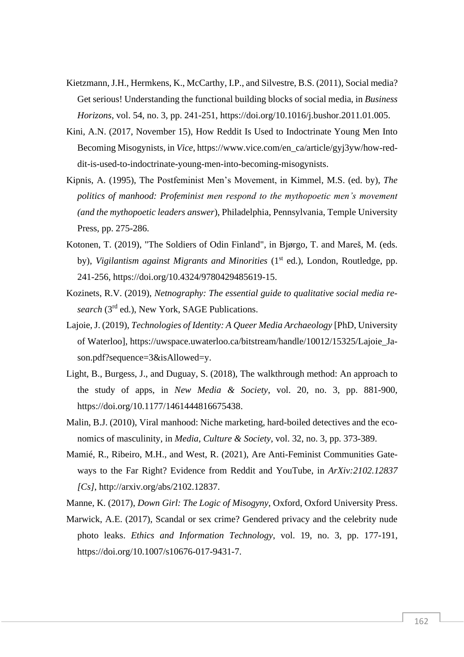- Kietzmann, J.H., Hermkens, K., McCarthy, I.P., and Silvestre, B.S. (2011), Social media? Get serious! Understanding the functional building blocks of social media, in *Business Horizons*, vol. 54, no. 3, pp. 241-251, https://doi.org/10.1016/j.bushor.2011.01.005.
- Kini, A.N. (2017, November 15), How Reddit Is Used to Indoctrinate Young Men Into Becoming Misogynists, in *Vice*, https://www.vice.com/en\_ca/article/gyj3yw/how-reddit-is-used-to-indoctrinate-young-men-into-becoming-misogynists.
- Kipnis, A. (1995), The Postfeminist Men's Movement, in Kimmel, M.S. (ed. by), *The politics of manhood: Profeminist men respond to the mythopoetic men's movement (and the mythopoetic leaders answer*), Philadelphia, Pennsylvania, Temple University Press, pp. 275-286.
- Kotonen, T. (2019), "The Soldiers of Odin Finland", in Bjørgo, T. and Mareš, M. (eds. by), *Vigilantism against Migrants and Minorities* (1<sup>st</sup> ed.), London, Routledge, pp. 241-256, https://doi.org/10.4324/9780429485619-15.
- Kozinets, R.V. (2019), *Netnography: The essential guide to qualitative social media research* (3rd ed.), New York, SAGE Publications.
- Lajoie, J. (2019), *Technologies of Identity: A Queer Media Archaeology* [PhD, University of Waterloo], https://uwspace.uwaterloo.ca/bitstream/handle/10012/15325/Lajoie\_Jason.pdf?sequence=3&isAllowed=y.
- Light, B., Burgess, J., and Duguay, S. (2018), The walkthrough method: An approach to the study of apps, in *New Media & Society*, vol. 20, no. 3, pp. 881-900, https://doi.org/10.1177/1461444816675438.
- Malin, B.J. (2010), Viral manhood: Niche marketing, hard-boiled detectives and the economics of masculinity, in *Media, Culture & Society*, vol. 32, no. 3, pp. 373-389.
- Mamié, R., Ribeiro, M.H., and West, R. (2021), Are Anti-Feminist Communities Gateways to the Far Right? Evidence from Reddit and YouTube, in *ArXiv:2102.12837 [Cs]*, http://arxiv.org/abs/2102.12837.

Manne, K. (2017), *Down Girl: The Logic of Misogyny*, Oxford, Oxford University Press.

Marwick, A.E. (2017), Scandal or sex crime? Gendered privacy and the celebrity nude photo leaks. *Ethics and Information Technology*, vol. 19, no. 3, pp. 177-191, https://doi.org/10.1007/s10676-017-9431-7.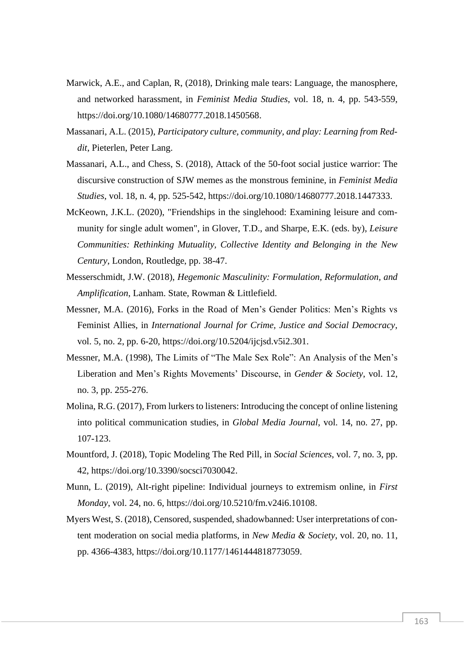- Marwick, A.E., and Caplan, R, (2018), Drinking male tears: Language, the manosphere, and networked harassment, in *Feminist Media Studies*, vol. 18, n. 4, pp. 543-559, https://doi.org/10.1080/14680777.2018.1450568.
- Massanari, A.L. (2015), *Participatory culture, community, and play: Learning from Reddit*, Pieterlen, Peter Lang.
- Massanari, A.L., and Chess, S. (2018), Attack of the 50-foot social justice warrior: The discursive construction of SJW memes as the monstrous feminine, in *Feminist Media Studies*, vol. 18, n. 4, pp. 525-542, https://doi.org/10.1080/14680777.2018.1447333.
- McKeown, J.K.L. (2020), "Friendships in the singlehood: Examining leisure and community for single adult women", in Glover, T.D., and Sharpe, E.K. (eds. by), *Leisure Communities: Rethinking Mutuality, Collective Identity and Belonging in the New Century*, London, Routledge, pp. 38-47.
- Messerschmidt, J.W. (2018), *Hegemonic Masculinity: Formulation, Reformulation, and Amplification*, Lanham. State, Rowman & Littlefield.
- Messner, M.A. (2016), Forks in the Road of Men's Gender Politics: Men's Rights vs Feminist Allies, in *International Journal for Crime, Justice and Social Democracy*, vol. 5, no. 2, pp. 6-20, https://doi.org/10.5204/ijcjsd.v5i2.301.
- Messner, M.A. (1998), The Limits of "The Male Sex Role": An Analysis of the Men's Liberation and Men's Rights Movements' Discourse, in *Gender & Society*, vol. 12, no. 3, pp. 255-276.
- Molina, R.G. (2017), From lurkers to listeners: Introducing the concept of online listening into political communication studies, in *Global Media Journal*, vol. 14, no. 27, pp. 107-123.
- Mountford, J. (2018), Topic Modeling The Red Pill, in *Social Sciences*, vol. 7, no. 3, pp. 42, https://doi.org/10.3390/socsci7030042.
- Munn, L. (2019), Alt-right pipeline: Individual journeys to extremism online, in *First Monday*, vol. 24, no. 6, https://doi.org/10.5210/fm.v24i6.10108.
- Myers West, S. (2018), Censored, suspended, shadowbanned: User interpretations of content moderation on social media platforms, in *New Media & Society*, vol. 20, no. 11, pp. 4366-4383, https://doi.org/10.1177/1461444818773059.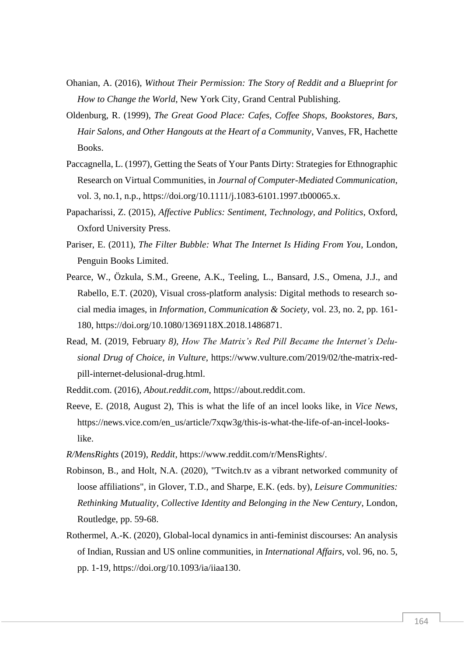- Ohanian, A. (2016), *Without Their Permission: The Story of Reddit and a Blueprint for How to Change the World*, New York City, Grand Central Publishing.
- Oldenburg, R. (1999), *The Great Good Place: Cafes, Coffee Shops, Bookstores, Bars, Hair Salons, and Other Hangouts at the Heart of a Community*, Vanves, FR, Hachette Books.
- Paccagnella, L. (1997), Getting the Seats of Your Pants Dirty: Strategies for Ethnographic Research on Virtual Communities, in *Journal of Computer-Mediated Communication*, vol. 3, no.1, n.p., https://doi.org/10.1111/j.1083-6101.1997.tb00065.x.
- Papacharissi, Z. (2015), *Affective Publics: Sentiment, Technology, and Politics*, Oxford, Oxford University Press.
- Pariser, E. (2011), *The Filter Bubble: What The Internet Is Hiding From You*, London, Penguin Books Limited.
- Pearce, W., Özkula, S.M., Greene, A.K., Teeling, L., Bansard, J.S., Omena, J.J., and Rabello, E.T. (2020), Visual cross-platform analysis: Digital methods to research social media images, in *Information, Communication & Society*, vol. 23, no. 2, pp. 161- 180, https://doi.org/10.1080/1369118X.2018.1486871.
- Read, M. (2019, Februar*y 8), How The Matrix's Red Pill Became the Internet's Delusional Drug of Choice, in Vulture*, https://www.vulture.com/2019/02/the-matrix-redpill-internet-delusional-drug.html.
- Reddit.com. (2016), *About.reddit.com*, https://about.reddit.com.
- Reeve, E. (2018, August 2), This is what the life of an incel looks like, in *Vice News*, https://news.vice.com/en\_us/article/7xqw3g/this-is-what-the-life-of-an-incel-lookslike.
- *R/MensRights* (2019), *Reddit*, https://www.reddit.com/r/MensRights/.
- Robinson, B., and Holt, N.A. (2020), "Twitch.tv as a vibrant networked community of loose affiliations", in Glover, T.D., and Sharpe, E.K. (eds. by), *Leisure Communities: Rethinking Mutuality, Collective Identity and Belonging in the New Century*, London, Routledge, pp. 59-68.
- Rothermel, A.-K. (2020), Global-local dynamics in anti-feminist discourses: An analysis of Indian, Russian and US online communities, in *International Affairs*, vol. 96, no. 5, pp. 1-19, https://doi.org/10.1093/ia/iiaa130.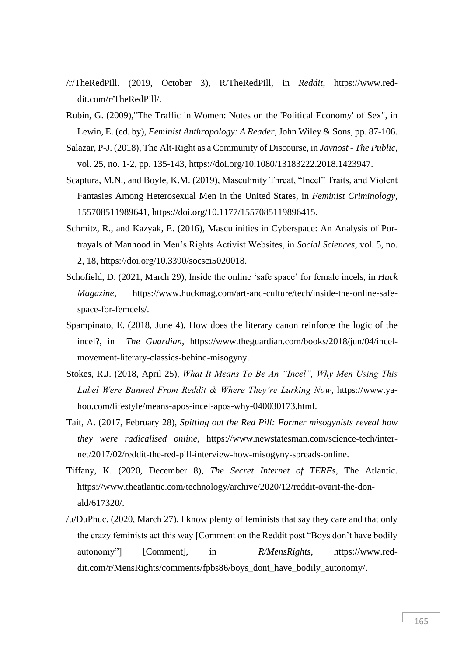- /r/TheRedPill. (2019, October 3), R/TheRedPill, in *Reddit*, https://www.reddit.com/r/TheRedPill/.
- Rubin, G. (2009),"The Traffic in Women: Notes on the 'Political Economy' of Sex", in Lewin, E. (ed. by), *Feminist Anthropology: A Reader*, John Wiley & Sons, pp. 87-106.
- Salazar, P-J. (2018), The Alt-Right as a Community of Discourse, in *Javnost - The Public*, vol. 25, no. 1-2, pp. 135-143, https://doi.org/10.1080/13183222.2018.1423947.
- Scaptura, M.N., and Boyle, K.M. (2019), Masculinity Threat, "Incel" Traits, and Violent Fantasies Among Heterosexual Men in the United States, in *Feminist Criminology*, 155708511989641, https://doi.org/10.1177/1557085119896415.
- Schmitz, R., and Kazyak, E. (2016), Masculinities in Cyberspace: An Analysis of Portrayals of Manhood in Men's Rights Activist Websites, in *Social Sciences*, vol. 5, no. 2, 18, https://doi.org/10.3390/socsci5020018.
- Schofield, D. (2021, March 29), Inside the online 'safe space' for female incels, in *Huck Magazine*, https://www.huckmag.com/art-and-culture/tech/inside-the-online-safespace-for-femcels/.
- Spampinato, E. (2018, June 4), How does the literary canon reinforce the logic of the incel?, in *The Guardian*, https://www.theguardian.com/books/2018/jun/04/incelmovement-literary-classics-behind-misogyny.
- Stokes, R.J. (2018, April 25), *What It Means To Be An "Incel", Why Men Using This Label Were Banned From Reddit & Where They're Lurking Now*, https://www.yahoo.com/lifestyle/means-apos-incel-apos-why-040030173.html.
- Tait, A. (2017, February 28), *Spitting out the Red Pill: Former misogynists reveal how they were radicalised online*, https://www.newstatesman.com/science-tech/internet/2017/02/reddit-the-red-pill-interview-how-misogyny-spreads-online.
- Tiffany, K. (2020, December 8), *The Secret Internet of TERFs*, The Atlantic. https://www.theatlantic.com/technology/archive/2020/12/reddit-ovarit-the-donald/617320/.
- /u/DuPhuc. (2020, March 27), I know plenty of feminists that say they care and that only the crazy feminists act this way [Comment on the Reddit post "Boys don't have bodily autonomy"] [Comment], in *R/MensRights*, https://www.reddit.com/r/MensRights/comments/fpbs86/boys\_dont\_have\_bodily\_autonomy/.